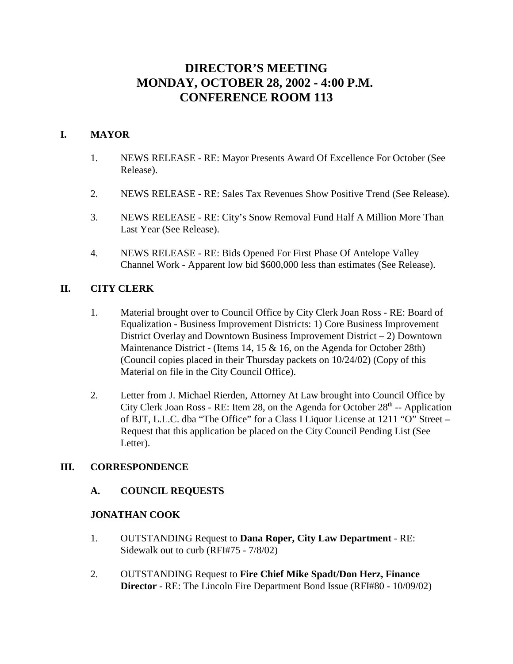# **DIRECTOR'S MEETING MONDAY, OCTOBER 28, 2002 - 4:00 P.M. CONFERENCE ROOM 113**

# **I. MAYOR**

- 1. NEWS RELEASE RE: Mayor Presents Award Of Excellence For October (See Release).
- 2. NEWS RELEASE RE: Sales Tax Revenues Show Positive Trend (See Release).
- 3. NEWS RELEASE RE: City's Snow Removal Fund Half A Million More Than Last Year (See Release).
- 4. NEWS RELEASE RE: Bids Opened For First Phase Of Antelope Valley Channel Work - Apparent low bid \$600,000 less than estimates (See Release).

# **II. CITY CLERK**

- 1. Material brought over to Council Office by City Clerk Joan Ross RE: Board of Equalization - Business Improvement Districts: 1) Core Business Improvement District Overlay and Downtown Business Improvement District – 2) Downtown Maintenance District - (Items 14, 15 & 16, on the Agenda for October 28th) (Council copies placed in their Thursday packets on 10/24/02) (Copy of this Material on file in the City Council Office).
- 2. Letter from J. Michael Rierden, Attorney At Law brought into Council Office by City Clerk Joan Ross - RE: Item 28, on the Agenda for October  $28<sup>th</sup>$  -- Application of BJT, L.L.C. dba "The Office" for a Class I Liquor License at 1211 "O" Street **–** Request that this application be placed on the City Council Pending List (See Letter).

# **III. CORRESPONDENCE**

# **A. COUNCIL REQUESTS**

#### **JONATHAN COOK**

- 1. OUTSTANDING Request to **Dana Roper, City Law Department** RE: Sidewalk out to curb (RFI#75 - 7/8/02)
- 2. OUTSTANDING Request to **Fire Chief Mike Spadt/Don Herz, Finance Director** - RE: The Lincoln Fire Department Bond Issue (RFI#80 - 10/09/02)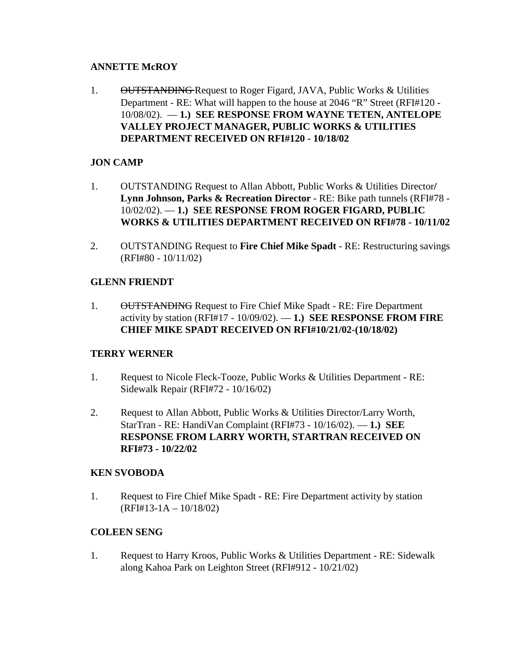### **ANNETTE McROY**

1. OUTSTANDING Request to Roger Figard, JAVA, Public Works & Utilities Department - RE: What will happen to the house at 2046 "R" Street (RFI#120 - 10/08/02). — **1.) SEE RESPONSE FROM WAYNE TETEN, ANTELOPE VALLEY PROJECT MANAGER, PUBLIC WORKS & UTILITIES DEPARTMENT RECEIVED ON RFI#120 - 10/18/02** 

# **JON CAMP**

- 1. OUTSTANDING Request to Allan Abbott, Public Works & Utilities Director**/ Lynn Johnson, Parks & Recreation Director** - RE: Bike path tunnels (RFI#78 - 10/02/02). — **1.) SEE RESPONSE FROM ROGER FIGARD, PUBLIC WORKS & UTILITIES DEPARTMENT RECEIVED ON RFI#78 - 10/11/02**
- 2. OUTSTANDING Request to **Fire Chief Mike Spadt** RE: Restructuring savings (RFI#80 - 10/11/02)

### **GLENN FRIENDT**

1. OUTSTANDING Request to Fire Chief Mike Spadt - RE: Fire Department activity by station (RFI#17 - 10/09/02). — **1.) SEE RESPONSE FROM FIRE CHIEF MIKE SPADT RECEIVED ON RFI#10/21/02-(10/18/02)** 

#### **TERRY WERNER**

- 1. Request to Nicole Fleck-Tooze, Public Works & Utilities Department RE: Sidewalk Repair (RFI#72 - 10/16/02)
- 2. Request to Allan Abbott, Public Works & Utilities Director/Larry Worth, StarTran - RE: HandiVan Complaint (RFI#73 - 10/16/02). — **1.) SEE RESPONSE FROM LARRY WORTH, STARTRAN RECEIVED ON RFI#73 - 10/22/02**

#### **KEN SVOBODA**

1. Request to Fire Chief Mike Spadt - RE: Fire Department activity by station (RFI#13-1A – 10/18/02)

#### **COLEEN SENG**

1. Request to Harry Kroos, Public Works & Utilities Department - RE: Sidewalk along Kahoa Park on Leighton Street (RFI#912 - 10/21/02)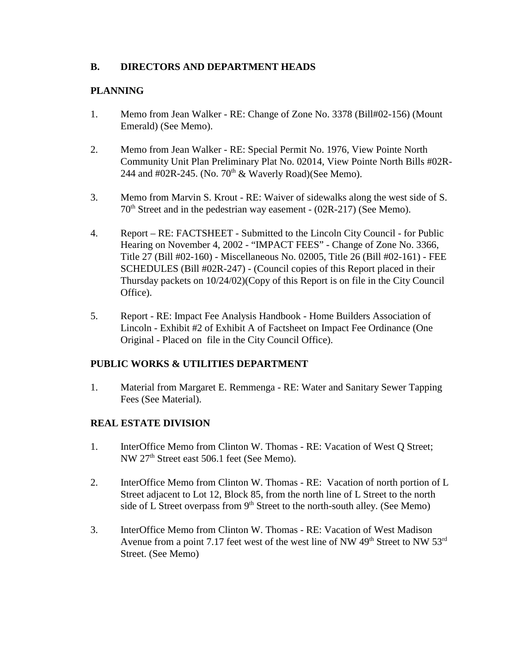# **B. DIRECTORS AND DEPARTMENT HEADS**

# **PLANNING**

- 1. Memo from Jean Walker RE: Change of Zone No. 3378 (Bill#02-156) (Mount Emerald) (See Memo).
- 2. Memo from Jean Walker RE: Special Permit No. 1976, View Pointe North Community Unit Plan Preliminary Plat No. 02014, View Pointe North Bills #02R-244 and  $\text{\#02R-245. (No. 70<sup>th</sup> & Waverly Road)(See Memo).}$
- 3. Memo from Marvin S. Krout RE: Waiver of sidewalks along the west side of S.  $70<sup>th</sup>$  Street and in the pedestrian way easement - (02R-217) (See Memo).
- 4. Report RE: FACTSHEET Submitted to the Lincoln City Council for Public Hearing on November 4, 2002 - "IMPACT FEES" - Change of Zone No. 3366, Title 27 (Bill #02-160) - Miscellaneous No. 02005, Title 26 (Bill #02-161) - FEE SCHEDULES (Bill #02R-247) - (Council copies of this Report placed in their Thursday packets on 10/24/02)(Copy of this Report is on file in the City Council Office).
- 5. Report RE: Impact Fee Analysis Handbook Home Builders Association of Lincoln - Exhibit #2 of Exhibit A of Factsheet on Impact Fee Ordinance (One Original - Placed on file in the City Council Office).

# **PUBLIC WORKS & UTILITIES DEPARTMENT**

1. Material from Margaret E. Remmenga - RE: Water and Sanitary Sewer Tapping Fees (See Material).

# **REAL ESTATE DIVISION**

- 1. InterOffice Memo from Clinton W. Thomas RE: Vacation of West Q Street; NW 27th Street east 506.1 feet (See Memo).
- 2. InterOffice Memo from Clinton W. Thomas RE: Vacation of north portion of L Street adjacent to Lot 12, Block 85, from the north line of L Street to the north side of L Street overpass from  $9<sup>th</sup>$  Street to the north-south alley. (See Memo)
- 3. InterOffice Memo from Clinton W. Thomas RE: Vacation of West Madison Avenue from a point 7.17 feet west of the west line of NW  $49<sup>th</sup>$  Street to NW  $53<sup>rd</sup>$ Street. (See Memo)